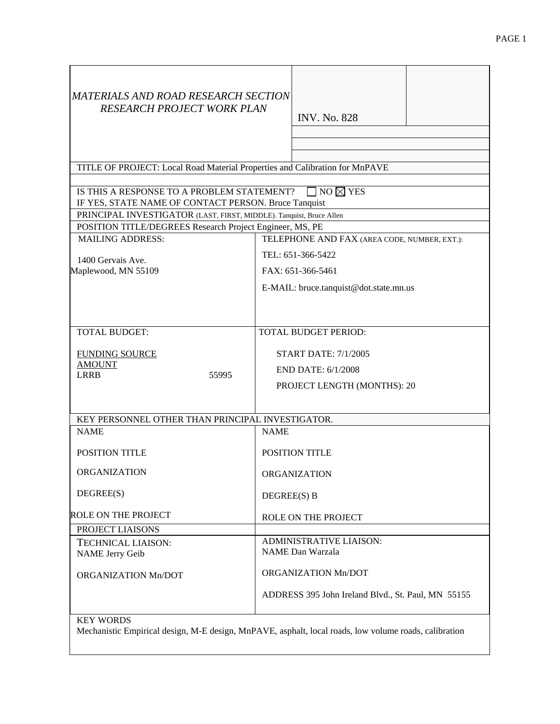| MATERIALS AND ROAD RESEARCH SECTION<br><b>RESEARCH PROJECT WORK PLAN</b>                           | <b>INV. No. 828</b>                                                                                   |  |  |  |  |  |  |  |  |  |
|----------------------------------------------------------------------------------------------------|-------------------------------------------------------------------------------------------------------|--|--|--|--|--|--|--|--|--|
|                                                                                                    |                                                                                                       |  |  |  |  |  |  |  |  |  |
| TITLE OF PROJECT: Local Road Material Properties and Calibration for MnPAVE                        |                                                                                                       |  |  |  |  |  |  |  |  |  |
|                                                                                                    |                                                                                                       |  |  |  |  |  |  |  |  |  |
| IS THIS A RESPONSE TO A PROBLEM STATEMENT?<br>IF YES, STATE NAME OF CONTACT PERSON. Bruce Tanquist | $\exists$ no $\boxtimes$ yes                                                                          |  |  |  |  |  |  |  |  |  |
| PRINCIPAL INVESTIGATOR (LAST, FIRST, MIDDLE). Tanquist, Bruce Allen                                |                                                                                                       |  |  |  |  |  |  |  |  |  |
| POSITION TITLE/DEGREES Research Project Engineer, MS, PE                                           |                                                                                                       |  |  |  |  |  |  |  |  |  |
| <b>MAILING ADDRESS:</b>                                                                            | TELEPHONE AND FAX (AREA CODE, NUMBER, EXT.):                                                          |  |  |  |  |  |  |  |  |  |
| 1400 Gervais Ave.                                                                                  | TEL: 651-366-5422                                                                                     |  |  |  |  |  |  |  |  |  |
| Maplewood, MN 55109                                                                                | FAX: 651-366-5461                                                                                     |  |  |  |  |  |  |  |  |  |
|                                                                                                    | E-MAIL: bruce.tanquist@dot.state.mn.us                                                                |  |  |  |  |  |  |  |  |  |
|                                                                                                    |                                                                                                       |  |  |  |  |  |  |  |  |  |
|                                                                                                    |                                                                                                       |  |  |  |  |  |  |  |  |  |
| <b>TOTAL BUDGET:</b>                                                                               |                                                                                                       |  |  |  |  |  |  |  |  |  |
|                                                                                                    | <b>TOTAL BUDGET PERIOD:</b>                                                                           |  |  |  |  |  |  |  |  |  |
| <b>FUNDING SOURCE</b>                                                                              | <b>START DATE: 7/1/2005</b>                                                                           |  |  |  |  |  |  |  |  |  |
| <b>AMOUNT</b>                                                                                      | END DATE: 6/1/2008                                                                                    |  |  |  |  |  |  |  |  |  |
| LRRB<br>55995                                                                                      | PROJECT LENGTH (MONTHS): 20                                                                           |  |  |  |  |  |  |  |  |  |
|                                                                                                    |                                                                                                       |  |  |  |  |  |  |  |  |  |
| KEY PERSONNEL OTHER THAN PRINCIPAL INVESTIGATOR.                                                   |                                                                                                       |  |  |  |  |  |  |  |  |  |
| <b>NAME</b>                                                                                        | <b>NAME</b>                                                                                           |  |  |  |  |  |  |  |  |  |
|                                                                                                    |                                                                                                       |  |  |  |  |  |  |  |  |  |
| <b>POSITION TITLE</b>                                                                              | <b>POSITION TITLE</b>                                                                                 |  |  |  |  |  |  |  |  |  |
| <b>ORGANIZATION</b>                                                                                | <b>ORGANIZATION</b>                                                                                   |  |  |  |  |  |  |  |  |  |
| DEGREE(S)                                                                                          | DEGREE(S) B                                                                                           |  |  |  |  |  |  |  |  |  |
| <b>ROLE ON THE PROJECT</b>                                                                         | ROLE ON THE PROJECT                                                                                   |  |  |  |  |  |  |  |  |  |
| PROJECT LIAISONS                                                                                   |                                                                                                       |  |  |  |  |  |  |  |  |  |
| <b>TECHNICAL LIAISON:</b>                                                                          | <b>ADMINISTRATIVE LIAISON:</b>                                                                        |  |  |  |  |  |  |  |  |  |
| <b>NAME</b> Jerry Geib                                                                             | <b>NAME</b> Dan Warzala                                                                               |  |  |  |  |  |  |  |  |  |
| ORGANIZATION Mn/DOT                                                                                | ORGANIZATION Mn/DOT                                                                                   |  |  |  |  |  |  |  |  |  |
|                                                                                                    | ADDRESS 395 John Ireland Blvd., St. Paul, MN 55155                                                    |  |  |  |  |  |  |  |  |  |
| <b>KEY WORDS</b>                                                                                   | Mechanistic Empirical design, M-E design, MnPAVE, asphalt, local roads, low volume roads, calibration |  |  |  |  |  |  |  |  |  |
|                                                                                                    |                                                                                                       |  |  |  |  |  |  |  |  |  |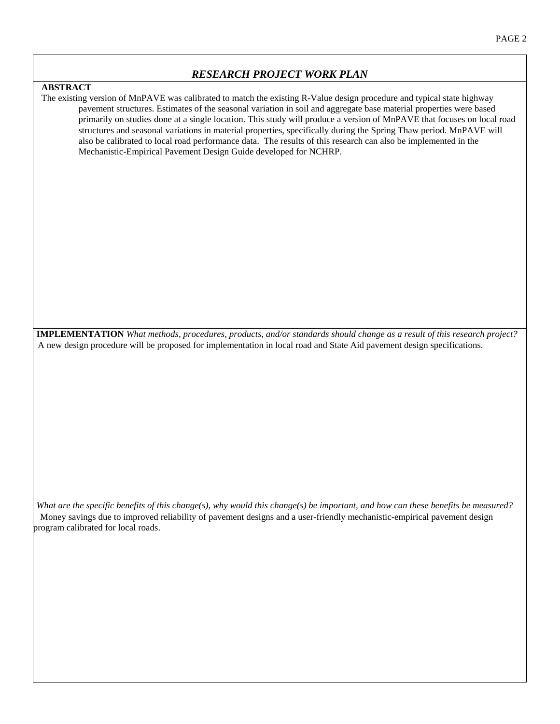#### **ABSTRACT**

The existing version of MnPAVE was calibrated to match the existing R-Value design procedure and typical state highway pavement structures. Estimates of the seasonal variation in soil and aggregate base material properties were based primarily on studies done at a single location. This study will produce a version of MnPAVE that focuses on local road structures and seasonal variations in material properties, specifically during the Spring Thaw period. MnPAVE will also be calibrated to local road performance data. The results of this research can also be implemented in the Mechanistic-Empirical Pavement Design Guide developed for NCHRP.

**IMPLEMENTATION** *What methods, procedures, products, and/or standards should change as a result of this research project?*  A new design procedure will be proposed for implementation in local road and State Aid pavement design specifications.

*What are the specific benefits of this change(s), why would this change(s) be important, and how can these benefits be measured?*  Money savings due to improved reliability of pavement designs and a user-friendly mechanistic-empirical pavement design program calibrated for local roads.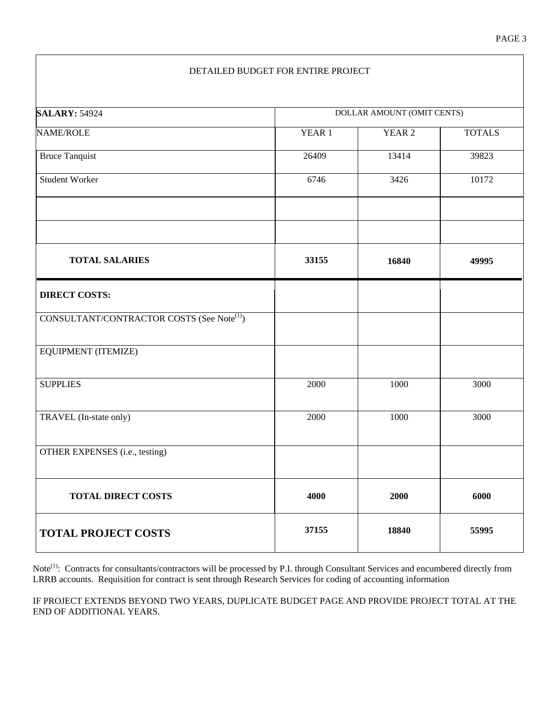#### DETAILED BUDGET FOR ENTIRE PROJECT

| <b>SALARY: 54924</b>                                   | DOLLAR AMOUNT (OMIT CENTS) |                   |               |  |  |  |  |  |  |  |
|--------------------------------------------------------|----------------------------|-------------------|---------------|--|--|--|--|--|--|--|
| <b>NAME/ROLE</b>                                       | YEAR 1                     | YEAR <sub>2</sub> | <b>TOTALS</b> |  |  |  |  |  |  |  |
| <b>Bruce Tanquist</b>                                  | 26409                      | 13414             | 39823         |  |  |  |  |  |  |  |
| <b>Student Worker</b>                                  | 6746                       | 3426              | 10172         |  |  |  |  |  |  |  |
|                                                        |                            |                   |               |  |  |  |  |  |  |  |
| <b>TOTAL SALARIES</b>                                  | 33155                      | 16840             | 49995         |  |  |  |  |  |  |  |
| <b>DIRECT COSTS:</b>                                   |                            |                   |               |  |  |  |  |  |  |  |
| CONSULTANT/CONTRACTOR COSTS (See Note <sup>(1)</sup> ) |                            |                   |               |  |  |  |  |  |  |  |
| EQUIPMENT (ITEMIZE)                                    |                            |                   |               |  |  |  |  |  |  |  |
| <b>SUPPLIES</b>                                        | 2000                       | 1000              | 3000          |  |  |  |  |  |  |  |
| TRAVEL (In-state only)                                 | 2000                       | 1000              | 3000          |  |  |  |  |  |  |  |
| OTHER EXPENSES (i.e., testing)                         |                            |                   |               |  |  |  |  |  |  |  |
| <b>TOTAL DIRECT COSTS</b>                              | 4000                       | 2000              | 6000          |  |  |  |  |  |  |  |
| <b>TOTAL PROJECT COSTS</b>                             | 37155                      | 18840             | 55995         |  |  |  |  |  |  |  |

Note<sup>(1)</sup>: Contracts for consultants/contractors will be processed by P.I. through Consultant Services and encumbered directly from LRRB accounts. Requisition for contract is sent through Research Services for coding of accounting information

IF PROJECT EXTENDS BEYOND TWO YEARS, DUPLICATE BUDGET PAGE AND PROVIDE PROJECT TOTAL AT THE END OF ADDITIONAL YEARS.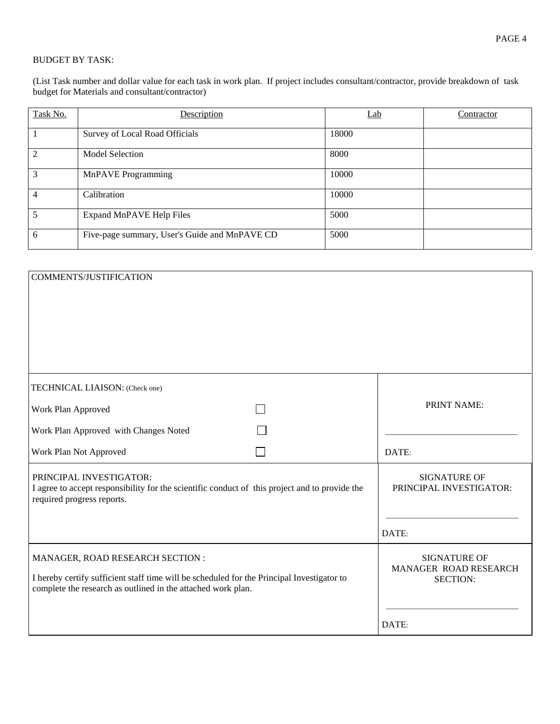#### BUDGET BY TASK:

(List Task number and dollar value for each task in work plan. If project includes consultant/contractor, provide breakdown of task budget for Materials and consultant/contractor)

| Task No. | Description                                   | Lab   | Contractor |
|----------|-----------------------------------------------|-------|------------|
|          | Survey of Local Road Officials                | 18000 |            |
| 2        | <b>Model Selection</b>                        | 8000  |            |
| 3        | MnPAVE Programming                            | 10000 |            |
| 4        | Calibration                                   | 10000 |            |
| 5        | Expand MnPAVE Help Files                      | 5000  |            |
| 6        | Five-page summary, User's Guide and MnPAVE CD | 5000  |            |

| <b>COMMENTS/JUSTIFICATION</b>                                                                                                                              |                                                |             |  |  |  |
|------------------------------------------------------------------------------------------------------------------------------------------------------------|------------------------------------------------|-------------|--|--|--|
|                                                                                                                                                            |                                                |             |  |  |  |
|                                                                                                                                                            |                                                |             |  |  |  |
|                                                                                                                                                            |                                                |             |  |  |  |
|                                                                                                                                                            |                                                |             |  |  |  |
| TECHNICAL LIAISON: (Check one)                                                                                                                             |                                                |             |  |  |  |
| Work Plan Approved                                                                                                                                         |                                                | PRINT NAME: |  |  |  |
| Work Plan Approved with Changes Noted                                                                                                                      |                                                |             |  |  |  |
| Work Plan Not Approved                                                                                                                                     |                                                | DATE:       |  |  |  |
| PRINCIPAL INVESTIGATOR:<br>I agree to accept responsibility for the scientific conduct of this project and to provide the<br>required progress reports.    | <b>SIGNATURE OF</b><br>PRINCIPAL INVESTIGATOR: |             |  |  |  |
|                                                                                                                                                            |                                                |             |  |  |  |
|                                                                                                                                                            |                                                | DATE:       |  |  |  |
| MANAGER, ROAD RESEARCH SECTION :                                                                                                                           | <b>SIGNATURE OF</b>                            |             |  |  |  |
| I hereby certify sufficient staff time will be scheduled for the Principal Investigator to<br>complete the research as outlined in the attached work plan. | MANAGER ROAD RESEARCH<br><b>SECTION:</b>       |             |  |  |  |
|                                                                                                                                                            |                                                |             |  |  |  |
|                                                                                                                                                            |                                                | DATE:       |  |  |  |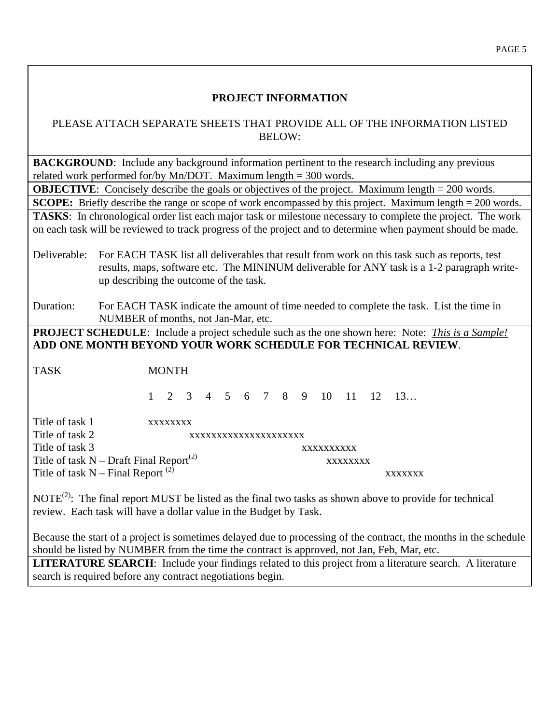### **PROJECT INFORMATION**

#### PLEASE ATTACH SEPARATE SHEETS THAT PROVIDE ALL OF THE INFORMATION LISTED BELOW:

**BACKGROUND:** Include any background information pertinent to the research including any previous related work performed for/by Mn/DOT. Maximum length = 300 words.

**OBJECTIVE:** Concisely describe the goals or objectives of the project. Maximum length = 200 words. **SCOPE:** Briefly describe the range or scope of work encompassed by this project. Maximum length = 200 words. **TASKS**: In chronological order list each major task or milestone necessary to complete the project. The work on each task will be reviewed to track progress of the project and to determine when payment should be made.

Deliverable: For EACH TASK list all deliverables that result from work on this task such as reports, test results, maps, software etc. The MININUM deliverable for ANY task is a 1-2 paragraph writeup describing the outcome of the task.

Duration: For EACH TASK indicate the amount of time needed to complete the task. List the time in NUMBER of months, not Jan-Mar, etc.

**PROJECT SCHEDULE**: Include a project schedule such as the one shown here: Note: *This is a Sample!* **ADD ONE MONTH BEYOND YOUR WORK SCHEDULE FOR TECHNICAL REVIEW**.

TASK MONTH

1 2 3 4 5 6 7 8 9 10 11 12 13…

Title of task 1 xxxxxxxx Title of task 2 xxxxxxxxxxxxxxxxxxxxx Title of task 3 xxxxxxxxxx Title of task  $N -$ Draft Final Report<sup>(2)</sup> xxxxxxxxx Title of task  $N -$  Final Report<sup>(2)</sup> xxxxxxxx

NOTE<sup>(2)</sup>: The final report MUST be listed as the final two tasks as shown above to provide for technical review. Each task will have a dollar value in the Budget by Task.

Because the start of a project is sometimes delayed due to processing of the contract, the months in the schedule should be listed by NUMBER from the time the contract is approved, not Jan, Feb, Mar, etc.

**LITERATURE SEARCH**: Include your findings related to this project from a literature search. A literature search is required before any contract negotiations begin.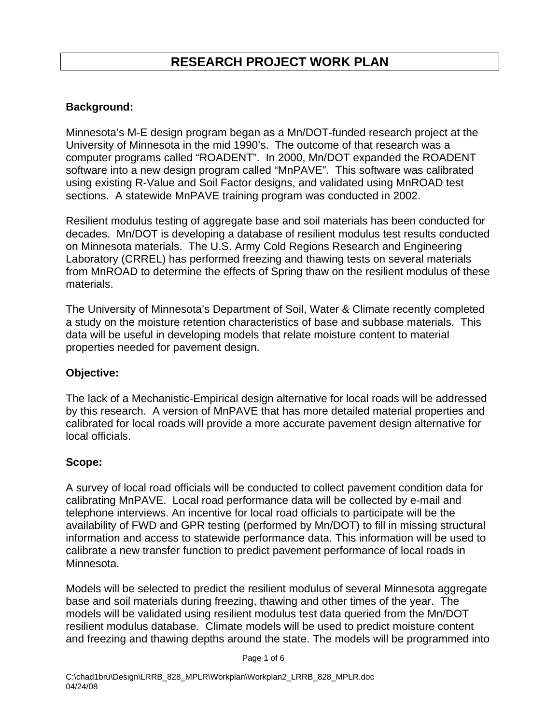## **Background:**

Minnesota's M-E design program began as a Mn/DOT-funded research project at the University of Minnesota in the mid 1990's. The outcome of that research was a computer programs called "ROADENT". In 2000, Mn/DOT expanded the ROADENT software into a new design program called "MnPAVE". This software was calibrated using existing R-Value and Soil Factor designs, and validated using MnROAD test sections. A statewide MnPAVE training program was conducted in 2002.

Resilient modulus testing of aggregate base and soil materials has been conducted for decades. Mn/DOT is developing a database of resilient modulus test results conducted on Minnesota materials. The U.S. Army Cold Regions Research and Engineering Laboratory (CRREL) has performed freezing and thawing tests on several materials from MnROAD to determine the effects of Spring thaw on the resilient modulus of these materials.

The University of Minnesota's Department of Soil, Water & Climate recently completed a study on the moisture retention characteristics of base and subbase materials. This data will be useful in developing models that relate moisture content to material properties needed for pavement design.

## **Objective:**

The lack of a Mechanistic-Empirical design alternative for local roads will be addressed by this research. A version of MnPAVE that has more detailed material properties and calibrated for local roads will provide a more accurate pavement design alternative for local officials.

### **Scope:**

A survey of local road officials will be conducted to collect pavement condition data for calibrating MnPAVE. Local road performance data will be collected by e-mail and telephone interviews. An incentive for local road officials to participate will be the availability of FWD and GPR testing (performed by Mn/DOT) to fill in missing structural information and access to statewide performance data. This information will be used to calibrate a new transfer function to predict pavement performance of local roads in Minnesota.

Models will be selected to predict the resilient modulus of several Minnesota aggregate base and soil materials during freezing, thawing and other times of the year. The models will be validated using resilient modulus test data queried from the Mn/DOT resilient modulus database. Climate models will be used to predict moisture content and freezing and thawing depths around the state. The models will be programmed into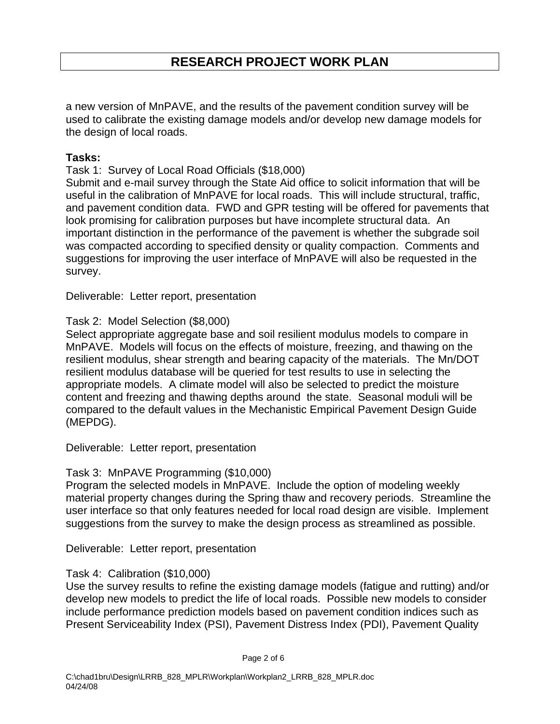a new version of MnPAVE, and the results of the pavement condition survey will be used to calibrate the existing damage models and/or develop new damage models for the design of local roads.

## **Tasks:**

Task 1: Survey of Local Road Officials (\$18,000)

Submit and e-mail survey through the State Aid office to solicit information that will be useful in the calibration of MnPAVE for local roads. This will include structural, traffic, and pavement condition data. FWD and GPR testing will be offered for pavements that look promising for calibration purposes but have incomplete structural data. An important distinction in the performance of the pavement is whether the subgrade soil was compacted according to specified density or quality compaction. Comments and suggestions for improving the user interface of MnPAVE will also be requested in the survey.

Deliverable: Letter report, presentation

## Task 2: Model Selection (\$8,000)

Select appropriate aggregate base and soil resilient modulus models to compare in MnPAVE. Models will focus on the effects of moisture, freezing, and thawing on the resilient modulus, shear strength and bearing capacity of the materials. The Mn/DOT resilient modulus database will be queried for test results to use in selecting the appropriate models. A climate model will also be selected to predict the moisture content and freezing and thawing depths around the state. Seasonal moduli will be compared to the default values in the Mechanistic Empirical Pavement Design Guide (MEPDG).

Deliverable: Letter report, presentation

## Task 3: MnPAVE Programming (\$10,000)

Program the selected models in MnPAVE. Include the option of modeling weekly material property changes during the Spring thaw and recovery periods. Streamline the user interface so that only features needed for local road design are visible. Implement suggestions from the survey to make the design process as streamlined as possible.

Deliverable: Letter report, presentation

## Task 4: Calibration (\$10,000)

Use the survey results to refine the existing damage models (fatigue and rutting) and/or develop new models to predict the life of local roads. Possible new models to consider include performance prediction models based on pavement condition indices such as Present Serviceability Index (PSI), Pavement Distress Index (PDI), Pavement Quality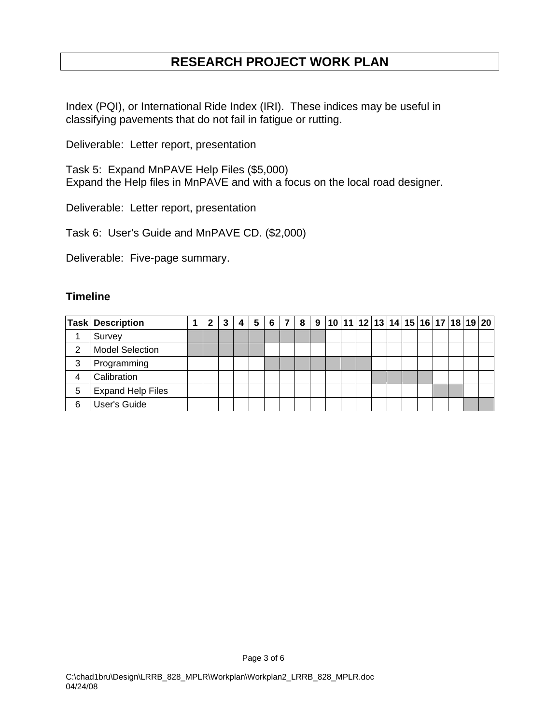Index (PQI), or International Ride Index (IRI). These indices may be useful in classifying pavements that do not fail in fatigue or rutting.

Deliverable: Letter report, presentation

Task 5: Expand MnPAVE Help Files (\$5,000) Expand the Help files in MnPAVE and with a focus on the local road designer.

Deliverable: Letter report, presentation

Task 6: User's Guide and MnPAVE CD. (\$2,000)

Deliverable: Five-page summary.

#### **Timeline**

|     | <b>Task Description</b>  |  |  | 5 | 6 | 8 | 9 10 11 12 13 14 15 16 17 18 19 20 |  |  |  |  |  |
|-----|--------------------------|--|--|---|---|---|------------------------------------|--|--|--|--|--|
|     | Survey                   |  |  |   |   |   |                                    |  |  |  |  |  |
| ◠   | <b>Model Selection</b>   |  |  |   |   |   |                                    |  |  |  |  |  |
| 3   | Programming              |  |  |   |   |   |                                    |  |  |  |  |  |
|     | Calibration              |  |  |   |   |   |                                    |  |  |  |  |  |
| 5   | <b>Expand Help Files</b> |  |  |   |   |   |                                    |  |  |  |  |  |
| ี่ค | User's Guide             |  |  |   |   |   |                                    |  |  |  |  |  |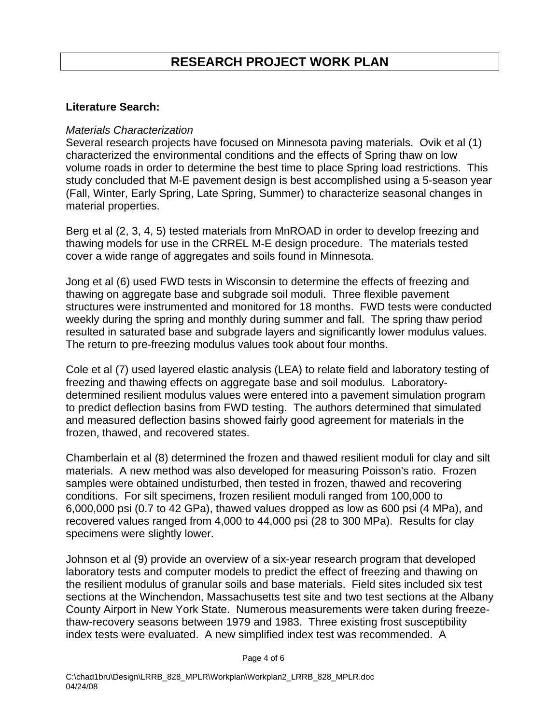### **Literature Search:**

### *Materials Characterization*

Several research projects have focused on Minnesota paving materials. Ovik et al (1) characterized the environmental conditions and the effects of Spring thaw on low volume roads in order to determine the best time to place Spring load restrictions. This study concluded that M-E pavement design is best accomplished using a 5-season year (Fall, Winter, Early Spring, Late Spring, Summer) to characterize seasonal changes in material properties.

Berg et al (2, 3, 4, 5) tested materials from MnROAD in order to develop freezing and thawing models for use in the CRREL M-E design procedure. The materials tested cover a wide range of aggregates and soils found in Minnesota.

Jong et al (6) used FWD tests in Wisconsin to determine the effects of freezing and thawing on aggregate base and subgrade soil moduli. Three flexible pavement structures were instrumented and monitored for 18 months. FWD tests were conducted weekly during the spring and monthly during summer and fall. The spring thaw period resulted in saturated base and subgrade layers and significantly lower modulus values. The return to pre-freezing modulus values took about four months.

Cole et al (7) used layered elastic analysis (LEA) to relate field and laboratory testing of freezing and thawing effects on aggregate base and soil modulus. Laboratorydetermined resilient modulus values were entered into a pavement simulation program to predict deflection basins from FWD testing. The authors determined that simulated and measured deflection basins showed fairly good agreement for materials in the frozen, thawed, and recovered states.

Chamberlain et al (8) determined the frozen and thawed resilient moduli for clay and silt materials. A new method was also developed for measuring Poisson's ratio. Frozen samples were obtained undisturbed, then tested in frozen, thawed and recovering conditions. For silt specimens, frozen resilient moduli ranged from 100,000 to 6,000,000 psi (0.7 to 42 GPa), thawed values dropped as low as 600 psi (4 MPa), and recovered values ranged from 4,000 to 44,000 psi (28 to 300 MPa). Results for clay specimens were slightly lower.

Johnson et al (9) provide an overview of a six-year research program that developed laboratory tests and computer models to predict the effect of freezing and thawing on the resilient modulus of granular soils and base materials. Field sites included six test sections at the Winchendon, Massachusetts test site and two test sections at the Albany County Airport in New York State. Numerous measurements were taken during freezethaw-recovery seasons between 1979 and 1983. Three existing frost susceptibility index tests were evaluated. A new simplified index test was recommended. A

Page 4 of 6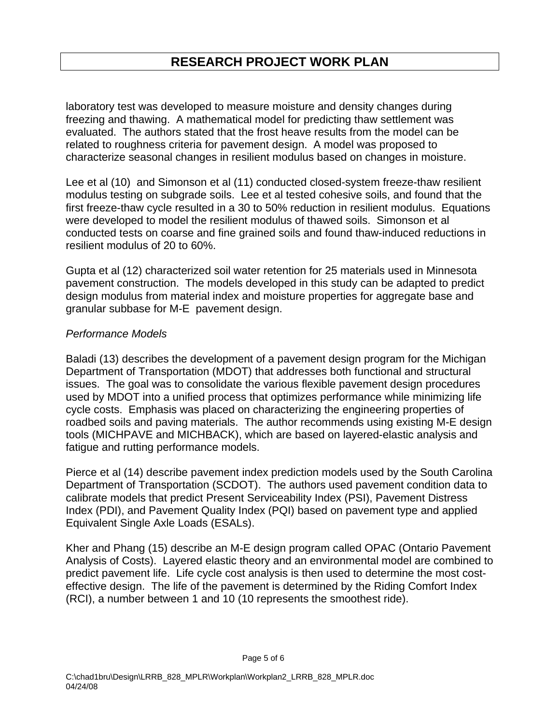laboratory test was developed to measure moisture and density changes during freezing and thawing. A mathematical model for predicting thaw settlement was evaluated. The authors stated that the frost heave results from the model can be related to roughness criteria for pavement design. A model was proposed to characterize seasonal changes in resilient modulus based on changes in moisture.

Lee et al (10) and Simonson et al (11) conducted closed-system freeze-thaw resilient modulus testing on subgrade soils. Lee et al tested cohesive soils, and found that the first freeze-thaw cycle resulted in a 30 to 50% reduction in resilient modulus. Equations were developed to model the resilient modulus of thawed soils. Simonson et al conducted tests on coarse and fine grained soils and found thaw-induced reductions in resilient modulus of 20 to 60%.

Gupta et al (12) characterized soil water retention for 25 materials used in Minnesota pavement construction. The models developed in this study can be adapted to predict design modulus from material index and moisture properties for aggregate base and granular subbase for M-E pavement design.

### *Performance Models*

Baladi (13) describes the development of a pavement design program for the Michigan Department of Transportation (MDOT) that addresses both functional and structural issues. The goal was to consolidate the various flexible pavement design procedures used by MDOT into a unified process that optimizes performance while minimizing life cycle costs. Emphasis was placed on characterizing the engineering properties of roadbed soils and paving materials. The author recommends using existing M-E design tools (MICHPAVE and MICHBACK), which are based on layered-elastic analysis and fatigue and rutting performance models.

Pierce et al (14) describe pavement index prediction models used by the South Carolina Department of Transportation (SCDOT). The authors used pavement condition data to calibrate models that predict Present Serviceability Index (PSI), Pavement Distress Index (PDI), and Pavement Quality Index (PQI) based on pavement type and applied Equivalent Single Axle Loads (ESALs).

Kher and Phang (15) describe an M-E design program called OPAC (Ontario Pavement Analysis of Costs). Layered elastic theory and an environmental model are combined to predict pavement life. Life cycle cost analysis is then used to determine the most costeffective design. The life of the pavement is determined by the Riding Comfort Index (RCI), a number between 1 and 10 (10 represents the smoothest ride).